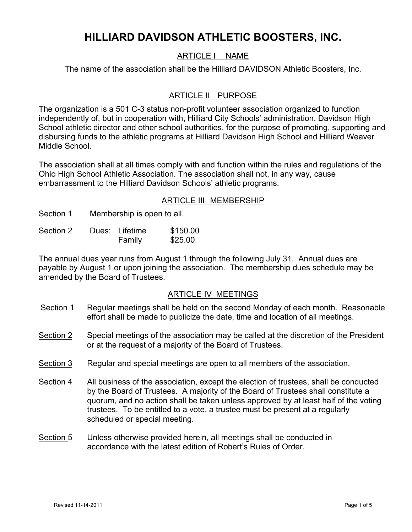# **HILLIARD DAVIDSON ATHLETIC BOOSTERS, INC.**

# ARTICLE I NAME

The name of the association shall be the Hilliard DAVIDSON Athletic Boosters, Inc.

# ARTICLE II PURPOSE

The organization is a 501 C-3 status non-profit volunteer association organized to function independently of, but in cooperation with, Hilliard City Schools' administration, Davidson High School athletic director and other school authorities, for the purpose of promoting, supporting and disbursing funds to the athletic programs at Hilliard Davidson High School and Hilliard Weaver Middle School.

The association shall at all times comply with and function within the rules and regulations of the Ohio High School Athletic Association. The association shall not, in any way, cause embarrassment to the Hilliard Davidson Schools' athletic programs.

## ARTICLE III MEMBERSHIP

Section 1 Membership is open to all.

| Section 2 | Dues: Lifetime | \$150.00 |
|-----------|----------------|----------|
|           | Family         | \$25.00  |

The annual dues year runs from August 1 through the following July 31. Annual dues are payable by August 1 or upon joining the association. The membership dues schedule may be amended by the Board of Trustees.

## ARTICLE IV MEETINGS

- Section 1 Regular meetings shall be held on the second Monday of each month. Reasonable effort shall be made to publicize the date, time and location of all meetings.
- Section 2 Special meetings of the association may be called at the discretion of the President or at the request of a majority of the Board of Trustees.
- Section 3 Regular and special meetings are open to all members of the association.
- Section 4 All business of the association, except the election of trustees, shall be conducted by the Board of Trustees. A majority of the Board of Trustees shall constitute a quorum, and no action shall be taken unless approved by at least half of the voting trustees. To be entitled to a vote, a trustee must be present at a regularly scheduled or special meeting.
- Section 5 Unless otherwise provided herein, all meetings shall be conducted in accordance with the latest edition of Robert's Rules of Order.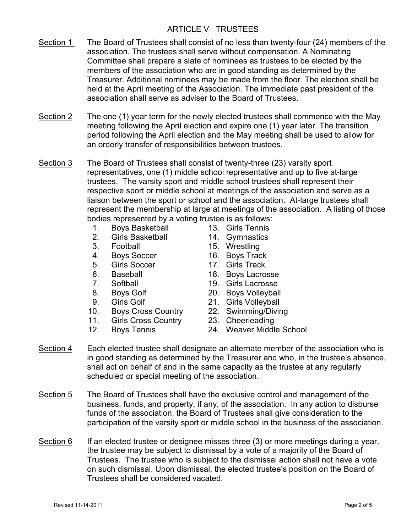# ARTICLE V TRUSTEES

- Section 1 The Board of Trustees shall consist of no less than twenty-four (24) members of the association. The trustees shall serve without compensation. A Nominating Committee shall prepare a slate of nominees as trustees to be elected by the members of the association who are in good standing as determined by the Treasurer. Additional nominees may be made from the floor. The election shall be held at the April meeting of the Association. The immediate past president of the association shall serve as adviser to the Board of Trustees.
- Section 2 The one (1) year term for the newly elected trustees shall commence with the May meeting following the April election and expire one (1) year later. The transition period following the April election and the May meeting shall be used to allow for an orderly transfer of responsibilities between trustees.
- Section 3 The Board of Trustees shall consist of twenty-three (23) varsity sport representatives, one (1) middle school representative and up to five at-large trustees. The varsity sport and middle school trustees shall represent their respective sport or middle school at meetings of the association and serve as a liaison between the sport or school and the association. At-large trustees shall represent the membership at large at meetings of the association. A listing of those bodies represented by a voting trustee is as follows:
	- 1. Boys Basketball 13. Girls Tennis
	- 2. Girls Basketball 14. Gymnastics
	-
	- 4. Boys Soccer 16. Boys Track
	- 5. Girls Soccer 17. Girls Track
	-
	-
	-
	-
	- 10. Boys Cross Country 22. Swimming/Diving
	- 11. Girls Cross Country 23. Cheerleading
	-
- 
- 
- 3. Football 15. Wrestling
	-
	-
- 6. Baseball 18. Boys Lacrosse
- 7. Softball 19. Girls Lacrosse
- 8. Boys Golf 20. Boys Volleyball
- 9. Girls Golf 21. Girls Volleyball
	-
	-
- 12. Boys Tennis 24. Weaver Middle School
- Section 4 Each elected trustee shall designate an alternate member of the association who is in good standing as determined by the Treasurer and who, in the trustee's absence, shall act on behalf of and in the same capacity as the trustee at any regularly scheduled or special meeting of the association.
- Section 5 The Board of Trustees shall have the exclusive control and management of the business, funds, and property, if any, of the association. In any action to disburse funds of the association, the Board of Trustees shall give consideration to the participation of the varsity sport or middle school in the business of the association.
- Section 6 If an elected trustee or designee misses three (3) or more meetings during a year, the trustee may be subject to dismissal by a vote of a majority of the Board of Trustees. The trustee who is subject to the dismissal action shall not have a vote on such dismissal. Upon dismissal, the elected trustee's position on the Board of Trustees shall be considered vacated.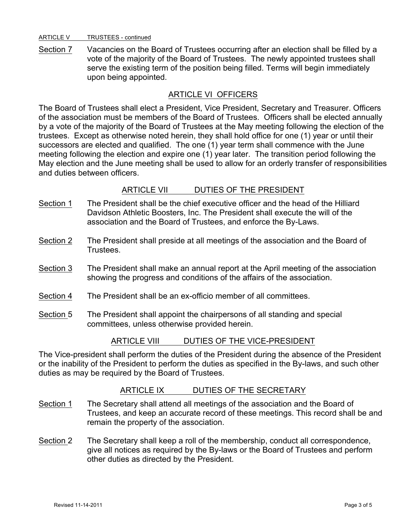#### ARTICLE V TRUSTEES - continued

Section 7 Vacancies on the Board of Trustees occurring after an election shall be filled by a vote of the majority of the Board of Trustees. The newly appointed trustees shall serve the existing term of the position being filled. Terms will begin immediately upon being appointed.

## ARTICLE VI OFFICERS

The Board of Trustees shall elect a President, Vice President, Secretary and Treasurer. Officers of the association must be members of the Board of Trustees. Officers shall be elected annually by a vote of the majority of the Board of Trustees at the May meeting following the election of the trustees. Except as otherwise noted herein, they shall hold office for one (1) year or until their successors are elected and qualified. The one (1) year term shall commence with the June meeting following the election and expire one (1) year later. The transition period following the May election and the June meeting shall be used to allow for an orderly transfer of responsibilities and duties between officers.

## ARTICLE VII DUTIES OF THE PRESIDENT

- Section 1 The President shall be the chief executive officer and the head of the Hilliard Davidson Athletic Boosters, Inc. The President shall execute the will of the association and the Board of Trustees, and enforce the By-Laws.
- Section 2 The President shall preside at all meetings of the association and the Board of **Trustees**
- Section 3 The President shall make an annual report at the April meeting of the association showing the progress and conditions of the affairs of the association.
- Section 4 The President shall be an ex-officio member of all committees.
- Section 5 The President shall appoint the chairpersons of all standing and special committees, unless otherwise provided herein.

## ARTICLE VIII DUTIES OF THE VICE-PRESIDENT

The Vice-president shall perform the duties of the President during the absence of the President or the inability of the President to perform the duties as specified in the By-laws, and such other duties as may be required by the Board of Trustees.

## ARTICLE IX DUTIES OF THE SECRETARY

- Section 1 The Secretary shall attend all meetings of the association and the Board of Trustees, and keep an accurate record of these meetings. This record shall be and remain the property of the association.
- Section 2 The Secretary shall keep a roll of the membership, conduct all correspondence, give all notices as required by the By-laws or the Board of Trustees and perform other duties as directed by the President.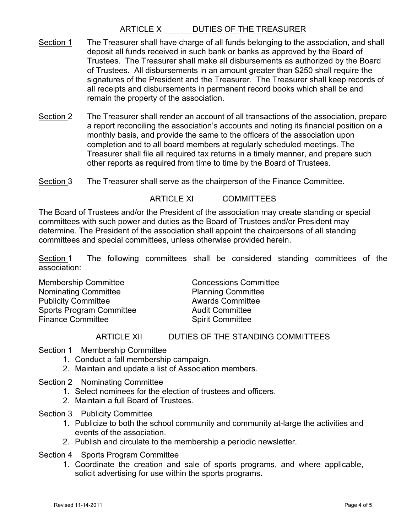# ARTICLE X DUTIES OF THE TREASURER

- Section 1 The Treasurer shall have charge of all funds belonging to the association, and shall deposit all funds received in such bank or banks as approved by the Board of Trustees. The Treasurer shall make all disbursements as authorized by the Board of Trustees. All disbursements in an amount greater than \$250 shall require the signatures of the President and the Treasurer. The Treasurer shall keep records of all receipts and disbursements in permanent record books which shall be and remain the property of the association.
- Section 2 The Treasurer shall render an account of all transactions of the association, prepare a report reconciling the association's accounts and noting its financial position on a monthly basis, and provide the same to the officers of the association upon completion and to all board members at regularly scheduled meetings. The Treasurer shall file all required tax returns in a timely manner, and prepare such other reports as required from time to time by the Board of Trustees.
- Section 3 The Treasurer shall serve as the chairperson of the Finance Committee.

#### ARTICLE XI COMMITTEES

The Board of Trustees and/or the President of the association may create standing or special committees with such power and duties as the Board of Trustees and/or President may determine. The President of the association shall appoint the chairpersons of all standing committees and special committees, unless otherwise provided herein.

Section 1 The following committees shall be considered standing committees of the association:

Membership Committee **Concessions** Committee Nominating Committee **Planning Committee** Publicity Committee **Awards** Committee Sports Program Committee **Audit Committee** Finance Committee **Spirit Committee** Spirit Committee

#### ARTICLE XII DUTIES OF THE STANDING COMMITTEES

Section 1 Membership Committee

- 1. Conduct a fall membership campaign.
- 2. Maintain and update a list of Association members.
- Section 2 Nominating Committee
	- 1. Select nominees for the election of trustees and officers.
	- 2. Maintain a full Board of Trustees.
- Section 3 Publicity Committee
	- 1. Publicize to both the school community and community at-large the activities and events of the association.
	- 2. Publish and circulate to the membership a periodic newsletter.

Section 4 Sports Program Committee

1. Coordinate the creation and sale of sports programs, and where applicable, solicit advertising for use within the sports programs.